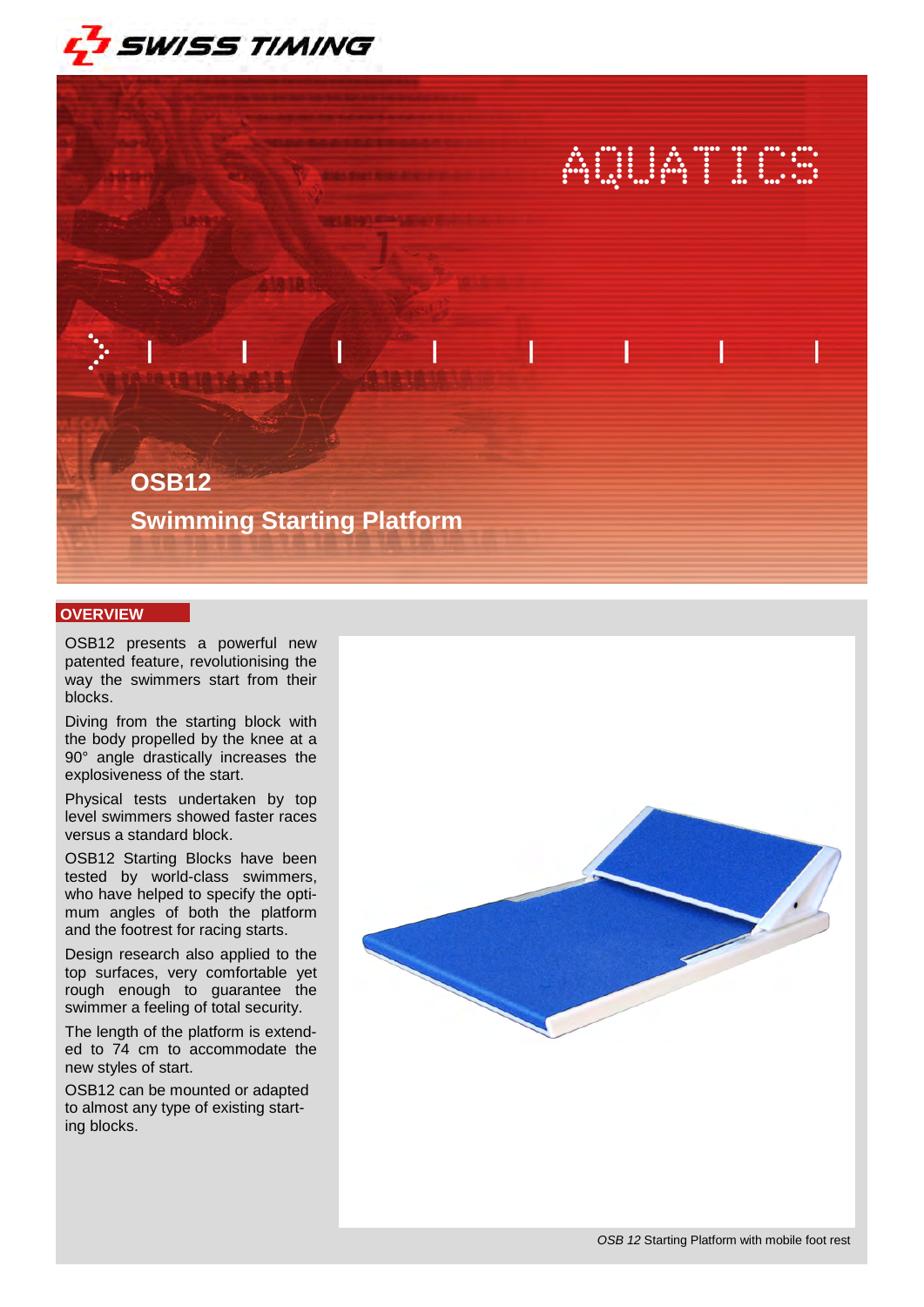

# AQUATICS

# **OSB12**

**Swimming Starting Platform** 

## **OVERVIEW**

OSB12 presents a powerful new patented feature, revolutionising the way the swimmers start from their blocks.

Diving from the starting block with the body propelled by the knee at a 90° angle drastically increases the explosiveness of the start.

Physical tests undertaken by top level swimmers showed faster races versus a standard block.

OSB12 Starting Blocks have been tested by world-class swimmers, who have helped to specify the optimum angles of both the platform and the footrest for racing starts.

Design research also applied to the top surfaces, very comfortable yet rough enough to guarantee the swimmer a feeling of total security.

The length of the platform is extended to 74 cm to accommodate the new styles of start.

OSB12 can be mounted or adapted to almost any type of existing starting blocks.